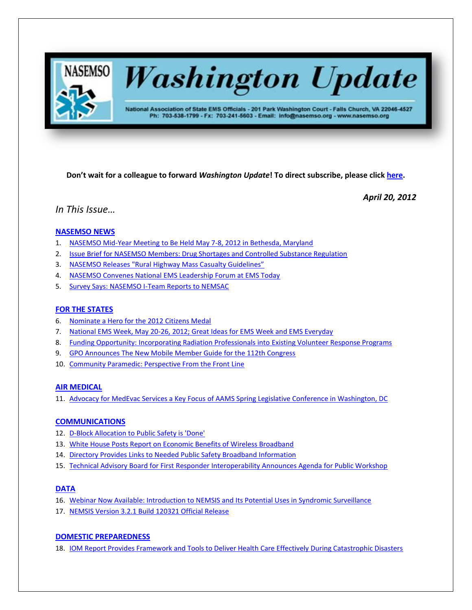

# **Washington Update**

National Association of State EMS Officials - 201 Park Washington Court - Falls Church, VA 22046-4527 Ph: 703-538-1799 - Fx: 703-241-5603 - Email: info@nasemso.org - www.nasemso.org

**Don't wait for a colleague to forward** *Washington Update***! To direct subscribe, please click [here.](http://lists.nasemso.org/read/all_forums/subscribe?name=wu%20)**

*April 20, 2012*

# *In This Issue…*

# **[NASEMSO NEWS](#page-2-0)**

- 1. NASEMSO Mid-Year Meeting to [Be Held May 7-8, 2012 in Bethesda, Maryland](#page-2-1)
- 2. [Issue Brief for NASEMSO Members: Drug Shortages and Controlled Substance Regulation](#page-2-2)
- 3. NASEMSO Releases ["Rural Highway Mass Casualty Guidelines"](#page-2-3)
- 4. [NASEMSO Convenes National EMS Leadership Forum at EMS Today](#page-2-4)
- 5. [Survey Says: NASEMSO I-Team Reports to NEMSAC](#page-2-5)

## **[FOR THE STATES](#page-3-0)**

- 6. [Nominate a Hero for the 2012 Citizens Medal](#page-3-1)
- 7. [National EMS Week, May 20-26, 2012; Great Ideas for EMS Week and EMS Everyday](#page-3-2)
- 8. [Funding Opportunity: Incorporating Radiation Professionals into](#page-3-3) Existing Volunteer Response Programs
- 9. [GPO Announces The New Mobile Member Guide for the 112th Congress](#page-3-4)
- 10. [Community Paramedic: Perspective From the Front Line](#page-4-0)

## **[AIR MEDICAL](#page-4-1)**

11. Advocacy for MedEvac Services a Key Focus [of AAMS Spring Legislative Conference in Washington, DC](#page-4-2)

## **[COMMUNICATIONS](#page-4-3)**

- 12. [D-Block Allocation to Public Safety is 'Done'](#page-4-4)
- 13. [White House Posts Report on Economic Benefits of Wireless Broadband](#page-4-5)
- 14. [Directory Provides Links to Needed Public Safety Broadband Information](#page-5-0)
- 15. [Technical Advisory Board for First Responder Interoperability Announces Agenda for Public Workshop](#page-5-1)

# **[DATA](#page-5-2)**

- 16. [Webinar Now Available: Introduction to NEMSIS and Its Potential Uses in Syndromic Surveillance](#page-5-3)
- 17. [NEMSIS Version 3.2.1 Build 120321 Official Release](#page-5-4)

# **[DOMESTIC PREPAREDNESS](#page-5-5)**

18. [IOM Report Provides Framework and Tools to Deliver Health Care Effectively During Catastrophic Disasters](#page-5-6)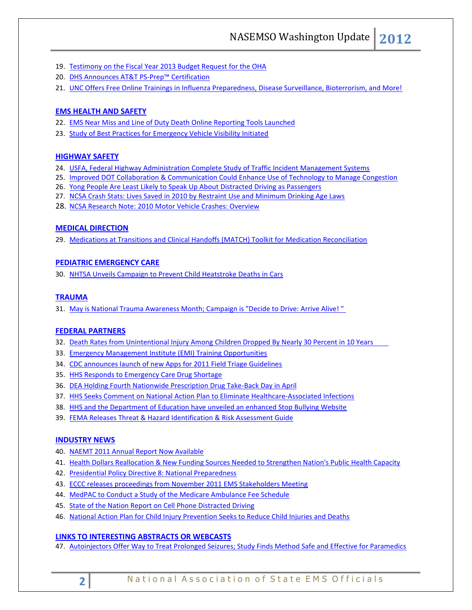- 19. [Testimony on the Fiscal Year 2013 Budget Request for the OHA](#page-6-0)
- 20. [DHS Announces AT&T PS-](#page-6-1)Prep™ Certification
- 21. [UNC Offers Free Online Trainings in Influenza Preparedness, Disease Surveillance, Bioterrorism, and More!](#page-6-2)

## **[EMS HEALTH AND SAFETY](#page-6-3)**

- 22. [EMS Near Miss and Line of Duty Death Online Reporting Tools Launched](#page-6-4)
- 23. [Study of Best Practices for Emergency Vehicle Visibility Initiated](#page-6-5)

## **[HIGHWAY SAFETY](#page-6-6)**

- 24. [USFA, Federal Highway Administration Complete Study of Traffic Incident Management Systems](#page-6-7)
- 25. [Improved DOT Collaboration & Communication Could Enhance Use of Technology to Manage Congestion](#page-7-0)
- 26. [Yong People Are Least Likely to Speak Up About Distracted Driving as Passengers](#page-7-1)
- 27. NCSA Crash Stats: Lives Saved in [2010 by Restraint Use and Minimum Drinking Age Laws](#page-7-2)
- 28. NCSA Research Note: [2010 Motor Vehicle Crashes: Overview](#page-7-3)

#### **MEDICAL [DIRECTION](#page-7-4)**

29. [Medications at Transitions and Clinical Handoffs \(MATCH\) Toolkit for Medication Reconciliation](#page-7-5)

#### **[PEDIATRIC EMERGENCY CARE](#page-8-0)**

30. [NHTSA Unveils Campaign to Prevent Child Heatstroke Deaths in Cars](#page-8-1)

## **[TRAUMA](#page-8-2)**

31. [May is National Trauma Awareness Month; Campaign is "Decide to Drive: Arrive Alive! "](#page-8-3)

#### **[FEDERAL PARTNERS](#page-8-4)**

- 32. Death Rates from Unintentional Injury Among [Children Dropped By Nearly 30 Percent in 10 Years](#page-8-5)
- 33. [Emergency Management Institute \(EMI\) Training Opportunities](#page-8-6)
- 34. [CDC announces launch of new Apps for 2011 Field Triage Guidelines](#page-8-7)
- 35. [HHS Responds to Emergency Care Drug Shortage](#page-9-0)
- 36. [DEA Holding Fourth Nationwide Prescription Drug Take-Back Day in April](#page-9-1)
- 37. [HHS Seeks Comment on National Action Plan to Eliminate Healthcare-Associated Infections](#page-9-2)
- 38. [HHS and the Department of Education have unveiled an enhanced Stop Bullying Website](#page-9-3)
- 39. [FEMA Releases Threat & Hazard Identification & Risk Assessment Guide](#page-9-4)

## **[INDUSTRY NEWS](#page-9-5)**

- 40. [NAEMT 2011 Annual Report Now Available](#page-9-6)
- 41. [Health Dollars Reallocation & New Funding Sources Needed to Strengthen Nation's Public Health Capacity](#page-10-0)
- 42. [Presidential Policy Directive 8: National Preparedness](#page-10-0)
- 43. [ECCC releases proceedings from November 2011 EMS Stakeholders Meeting](#page-10-1)
- 44. [MedPAC to Conduct a Study of the Medicare Ambulance Fee Schedule](#page-10-2)
- 45. [State of the Nation Report on Cell Phone Distracted Driving](#page-10-3)
- 46. [National Action Plan for Child Injury Prevention Seeks to Reduce Child Injuries and Deaths](#page-10-4)

# **[LINKS TO INTERESTING ABSTRACTS OR WEBCASTS](#page-11-0)**

47. [Autoinjectors Offer Way to Treat Prolonged Seizures; Study Finds Method Safe and Effective for Paramedics](#page-11-1)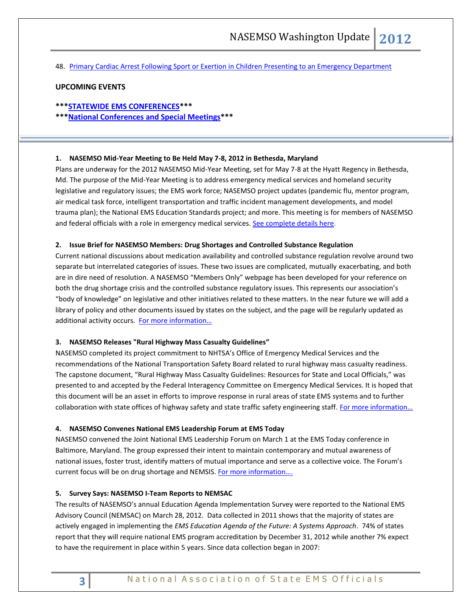48. [Primary Cardiac Arrest Following Sport or Exertion in Children Presenting to an Emergency Department](#page-11-2)

## **UPCOMING EVENTS**

## **\*\*[\\*STATEWIDE EMS CONFERENCES\\*](#page-11-3)\*\***

**\*\*[\\*National Conferences and Special Meetings\\*](#page-12-0)\*\***

#### <span id="page-2-1"></span><span id="page-2-0"></span>**1. NASEMSO Mid-Year Meeting to Be Held May 7-8, 2012 in Bethesda, Maryland**

Plans are underway for the 2012 NASEMSO Mid-Year Meeting, set for May 7-8 at the Hyatt Regency in Bethesda, Md. The purpose of the Mid-Year Meeting is to address emergency medical services and homeland security legislative and regulatory issues; the EMS work force; NASEMSO project updates (pandemic flu, mentor program, air medical task force, intelligent transportation and traffic incident management developments, and model trauma plan); the National EMS Education Standards project; and more. This meeting is for members of NASEMSO and federal officials with a role in emergency medical services. [See complete details here.](http://www.nasemso.org/Meetings/MidYear/)

#### <span id="page-2-2"></span>**2. Issue Brief for NASEMSO Members: Drug Shortages and Controlled Substance Regulation**

Current national discussions about medication availability and controlled substance regulation revolve around two separate but interrelated categories of issues. These two issues are complicated, mutually exacerbating, and both are in dire need of resolution. A NASEMSO "Members Only" webpage has been developed for your reference on both the drug shortage crisis and the controlled substance regulatory issues. This represents our association's "body of knowledge" on legislative and other initiatives related to these matters. In the near future we will add a library of policy and other documents issued by states on the subject, and the page will be regularly updated as additional activity occurs. [For more inform](https://www.nasemso.org/Members/IssueBrief-DrugShortages.asp)ation…

#### <span id="page-2-3"></span>**3. NASEMSO Releases "Rural Highway Mass Casualty Guidelines"**

NASEMSO completed its project commitment to NHTSA's Office of Emergency Medical Services and the recommendations of the National Transportation Safety Board related to rural highway mass casualty readiness. The capstone document, "Rural Highway Mass Casualty Guidelines: Resources for State and Local Officials," was presented to and accepted by the Federal Interagency Committee on Emergency Medical Services. It is hoped that this document will be an asset in efforts to improve response in rural areas of state EMS systems and to further collaboration with state offices of highway safety and state traffic safety engineering staff. For more information...

#### <span id="page-2-4"></span>**4. NASEMSO Convenes National EMS Leadership Forum at EMS Today**

NASEMSO convened the Joint National EMS Leadership Forum on March 1 at the EMS Today conference in Baltimore, Maryland. The group expressed their intent to maintain contemporary and mutual awareness of national issues, foster trust, identify matters of mutual importance and serve as a collective voice. The Forum's current focus will be on drug shortage and NEMSIS. [For more information….](http://www.nasemso.org/NewsAndPublications/News/index.asp#EMSTODAY) 

#### <span id="page-2-5"></span>**5. Survey Says: NASEMSO I-Team Reports to NEMSAC**

The results of NASEMSO's annual Education Agenda Implementation Survey were reported to the National EMS Advisory Council (NEMSAC) on March 28, 2012. Data collected in 2011 shows that the majority of states are actively engaged in implementing the *EMS Education Agenda of the Future: A Systems Approach*. 74% of states report that they will require national EMS program accreditation by December 31, 2012 while another 7% expect to have the requirement in place within 5 years. Since data collection began in 2007: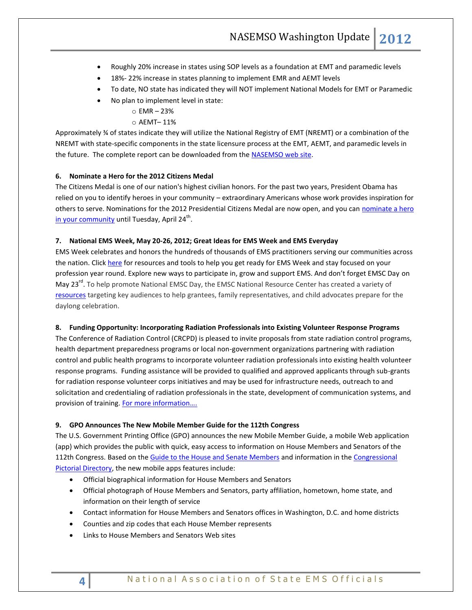- Roughly 20% increase in states using SOP levels as a foundation at EMT and paramedic levels
- 18%- 22% increase in states planning to implement EMR and AEMT levels
- To date, NO state has indicated they will NOT implement National Models for EMT or Paramedic
- No plan to implement level in state:
	- o EMR 23%

# o AEMT– 11%

Approximately ¾ of states indicate they will utilize the National Registry of EMT (NREMT) or a combination of the NREMT with state-specific components in the state licensure process at the EMT, AEMT, and paramedic levels in the future. The complete report can be downloaded from the [NASEMSO web site.](http://www.nasemso.org/EMSEducationImplementationPlanning/Toolkit.asp)

## <span id="page-3-1"></span><span id="page-3-0"></span>**6. Nominate a Hero for the 2012 Citizens Medal**

The Citizens Medal is one of our nation's highest civilian honors. For the past two years, President Obama has relied on you to identify heroes in your community – extraordinary Americans whose work provides inspiration for others to serve. Nominations for the 2012 Presidential Citizens Medal are now open, and you ca[n nominate a hero](http://links.whitehouse.gov/track?type=click&enid=ZWFzPTEmbWFpbGluZ2lkPTIwMTIwNDE2LjY4NzU4MzEmbWVzc2FnZWlkPU1EQi1QUkQtQlVMLTIwMTIwNDE2LjY4NzU4MzEmZGF0YWJhc2VpZD0xMDAxJnNlcmlhbD0xNjg1OTY3MCZlbWFpbGlkPXJvYmluc29uQG5hc2Vtc28ub3JnJnVzZXJpZD1yb2JpbnNvbkBuYXNlbXNvLm9yZyZmbD0mZXh0cmE9TXVsdGl2YXJpYXRlSWQ9JiYm&&&100&&&http://www.whitehouse.gov/citizensmedal/submit-a-nomination?utm_source=041612&utm_medium=topper&utm_campaign=daily)  [in your community](http://links.whitehouse.gov/track?type=click&enid=ZWFzPTEmbWFpbGluZ2lkPTIwMTIwNDE2LjY4NzU4MzEmbWVzc2FnZWlkPU1EQi1QUkQtQlVMLTIwMTIwNDE2LjY4NzU4MzEmZGF0YWJhc2VpZD0xMDAxJnNlcmlhbD0xNjg1OTY3MCZlbWFpbGlkPXJvYmluc29uQG5hc2Vtc28ub3JnJnVzZXJpZD1yb2JpbnNvbkBuYXNlbXNvLm9yZyZmbD0mZXh0cmE9TXVsdGl2YXJpYXRlSWQ9JiYm&&&100&&&http://www.whitehouse.gov/citizensmedal/submit-a-nomination?utm_source=041612&utm_medium=topper&utm_campaign=daily) until Tuesday, April 24<sup>th</sup>.

## <span id="page-3-2"></span>**7. National EMS Week, May 20-26, 2012; Great Ideas for EMS Week and EMS Everyday**

EMS Week celebrates and honors the hundreds of thousands of EMS practitioners serving our communities across the nation. Click [here](http://www.emsweekideas.org/home) for resources and tools to help you get ready for EMS Week and stay focused on your profession year round. Explore new ways to participate in, grow and support EMS. And don't forget EMSC Day on May 23<sup>rd</sup>. To help promote National EMSC Day, the EMSC National Resource Center has created a variety of [resources](http://childrensnational.org/EMSC/Events/NEMSC_Day.aspx) targeting key audiences to help grantees, family representatives, and child advocates prepare for the daylong celebration.

## <span id="page-3-3"></span>**8. Funding Opportunity: Incorporating Radiation Professionals into Existing Volunteer Response Programs**

The Conference of Radiation Control (CRCPD) is pleased to invite proposals from state radiation control programs, health department preparedness programs or local non-government organizations partnering with radiation control and public health programs to incorporate volunteer radiation professionals into existing health volunteer response programs. Funding assistance will be provided to qualified and approved applicants through sub-grants for radiation response volunteer corps initiatives and may be used for infrastructure needs, outreach to and solicitation and credentialing of radiation professionals in the state, development of communication systems, and provision of training. [For more information….](http://www.crcpd.org/RRVC/rrvc_rfp.aspx)

## <span id="page-3-4"></span>**9. GPO Announces The New Mobile Member Guide for the 112th Congress**

The U.S. Government Printing Office (GPO) announces the new Mobile Member Guide, a mobile Web application (app) which provides the public with quick, easy access to information on House Members and Senators of the 112th Congress. Based on the [Guide to the House and Senate Members](http://links.govdelivery.com/track?type=click&enid=ZWFzPTEmbWFpbGluZ2lkPTIwMTIwNDE4LjY5MzcxOTEmbWVzc2FnZWlkPU1EQi1QUkQtQlVMLTIwMTIwNDE4LjY5MzcxOTEmZGF0YWJhc2VpZD0xMDAxJnNlcmlhbD0xNjk1NjA2MyZlbWFpbGlkPXJvYmluc29uQG5hc2Vtc28ub3JnJnVzZXJpZD1yb2JpbnNvbkBuYXNlbXNvLm9yZyZmbD0mZXh0cmE9TXVsdGl2YXJpYXRlSWQ9JiYm&&&102&&&http://memberguide.gpo.gov/) and information in the [Congressional](http://links.govdelivery.com/track?type=click&enid=ZWFzPTEmbWFpbGluZ2lkPTIwMTIwNDE4LjY5MzcxOTEmbWVzc2FnZWlkPU1EQi1QUkQtQlVMLTIwMTIwNDE4LjY5MzcxOTEmZGF0YWJhc2VpZD0xMDAxJnNlcmlhbD0xNjk1NjA2MyZlbWFpbGlkPXJvYmluc29uQG5hc2Vtc28ub3JnJnVzZXJpZD1yb2JpbnNvbkBuYXNlbXNvLm9yZyZmbD0mZXh0cmE9TXVsdGl2YXJpYXRlSWQ9JiYm&&&103&&&http://www.gpo.gov/fdsys/pkg/GPO-PICTDIR-112-REV/content-detail.html)  [Pictorial Directory,](http://links.govdelivery.com/track?type=click&enid=ZWFzPTEmbWFpbGluZ2lkPTIwMTIwNDE4LjY5MzcxOTEmbWVzc2FnZWlkPU1EQi1QUkQtQlVMLTIwMTIwNDE4LjY5MzcxOTEmZGF0YWJhc2VpZD0xMDAxJnNlcmlhbD0xNjk1NjA2MyZlbWFpbGlkPXJvYmluc29uQG5hc2Vtc28ub3JnJnVzZXJpZD1yb2JpbnNvbkBuYXNlbXNvLm9yZyZmbD0mZXh0cmE9TXVsdGl2YXJpYXRlSWQ9JiYm&&&103&&&http://www.gpo.gov/fdsys/pkg/GPO-PICTDIR-112-REV/content-detail.html) the new mobile apps features include:

- Official biographical information for House Members and Senators
- Official photograph of House Members and Senators, party affiliation, hometown, home state, and information on their length of service
- Contact information for House Members and Senators offices in Washington, D.C. and home districts
- Counties and zip codes that each House Member represents
- Links to House Members and Senators Web sites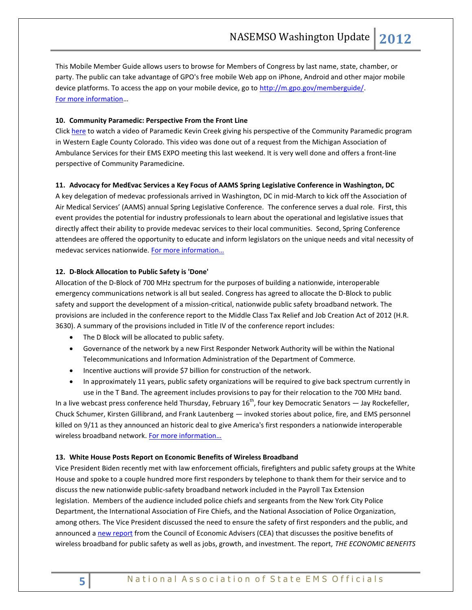This Mobile Member Guide allows users to browse for Members of Congress by last name, state, chamber, or party. The public can take advantage of GPO's free mobile Web app on iPhone, Android and other major mobile device platforms. To access the app on your mobile device, go to [http://m.gpo.gov/memberguide/.](http://links.govdelivery.com/track?type=click&enid=ZWFzPTEmbWFpbGluZ2lkPTIwMTIwNDE4LjY5MzcxOTEmbWVzc2FnZWlkPU1EQi1QUkQtQlVMLTIwMTIwNDE4LjY5MzcxOTEmZGF0YWJhc2VpZD0xMDAxJnNlcmlhbD0xNjk1NjA2MyZlbWFpbGlkPXJvYmluc29uQG5hc2Vtc28ub3JnJnVzZXJpZD1yb2JpbnNvbkBuYXNlbXNvLm9yZyZmbD0mZXh0cmE9TXVsdGl2YXJpYXRlSWQ9JiYm&&&105&&&http://m.gpo.gov/memberguide/) [For more information](http://www.gpo.gov/mobile)…

## <span id="page-4-0"></span>**10. Community Paramedic: Perspective From the Front Line**

Click [here](https://vimeo.com/40562721) to watch a video of Paramedic Kevin Creek giving his perspective of the Community Paramedic program in Western Eagle County Colorado. This video was done out of a request from the Michigan Association of Ambulance Services for their EMS EXPO meeting this last weekend. It is very well done and offers a front-line perspective of Community Paramedicine.

## <span id="page-4-2"></span><span id="page-4-1"></span>**11. Advocacy for MedEvac Services a Key Focus of AAMS Spring Legislative Conference in Washington, DC**

A key delegation of medevac professionals arrived in Washington, DC in mid-March to kick off the Association of Air Medical Services' (AAMS) annual Spring Legislative Conference. The conference serves a dual role. First, this event provides the potential for industry professionals to learn about the operational and legislative issues that directly affect their ability to provide medevac services to their local communities. Second, Spring Conference attendees are offered the opportunity to educate and inform legislators on the unique needs and vital necessity of medevac services nationwide. For more information...

## <span id="page-4-4"></span><span id="page-4-3"></span>**12. D-Block Allocation to Public Safety is 'Done'**

Allocation of the D-Block of 700 MHz spectrum for the purposes of building a nationwide, interoperable emergency communications network is all but sealed. Congress has agreed to allocate the D-Block to public safety and support the development of a mission-critical, nationwide public safety broadband network. The provisions are included in the conference report to the Middle Class Tax Relief and Job Creation Act of 2012 (H.R. 3630). A summary of the provisions included in Title IV of the conference report includes:

- The D Block will be allocated to public safety.
- Governance of the network by a new First Responder Network Authority will be within the National Telecommunications and Information Administration of the Department of Commerce.
- Incentive auctions will provide \$7 billion for construction of the network.
- In approximately 11 years, public safety organizations will be required to give back spectrum currently in use in the T Band. The agreement includes provisions to pay for their relocation to the 700 MHz band.

In a live webcast press conference held Thursday, February  $16<sup>th</sup>$ , four key Democratic Senators — Jay Rockefeller, Chuck Schumer, Kirsten Gillibrand, and Frank Lautenberg — invoked stories about police, fire, and EMS personnel killed on 9/11 as they announced an historic deal to give America's first responders a nationwide interoperable wireless broadband network. For more information...

## <span id="page-4-5"></span>**13. White House Posts Report on Economic Benefits of Wireless Broadband**

Vice President Biden recently met with law enforcement officials, firefighters and public safety groups at the White House and spoke to a couple hundred more first responders by telephone to thank them for their service and to discuss the new nationwide public-safety broadband network included in the Payroll Tax Extension legislation. Members of the audience included police chiefs and sergeants from the New York City Police Department, the International Association of Fire Chiefs, and the National Association of Police Organization, among others. The Vice President discussed the need to ensure the safety of first responders and the public, and announced a [new report](http://www.whitehouse.gov/sites/default/files/cea_spectrum_report_2-21-2012.pdf) from the Council of Economic Advisers (CEA) that discusses the positive benefits of wireless broadband for public safety as well as jobs, growth, and investment. The report, *THE ECONOMIC BENEFITS*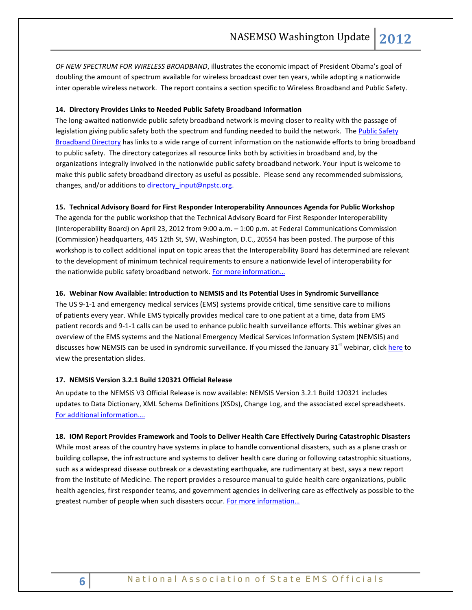*OF NEW SPECTRUM FOR WIRELESS BROADBAND*, illustrates the economic impact of President Obama's goal of doubling the amount of spectrum available for wireless broadcast over ten years, while adopting a nationwide inter operable wireless network. The report contains a section specific to Wireless Broadband and Public Safety.

## <span id="page-5-0"></span>**14. Directory Provides Links to Needed Public Safety Broadband Information**

The long-awaited nationwide public safety broadband network is moving closer to reality with the passage of legislation giving public safety both the spectrum and funding needed to build the network. The Public Safety [Broadband Directory](http://r20.rs6.net/tn.jsp?e=001If9qe5V3QHDMqIO1YjFX_ytwBiIeMPwB0DBih-mH4kodTc_98IP3lS-ff5Jdhv6dEQuhiZBFlCqwyIxZ_cqT5WoxjyP4bRoCTk17wExfTYTPwDxD_cecisUj5ob2Hh50EIrDOwEfQUc=) has links to a wide range of current information on the nationwide efforts to bring broadband to public safety. The directory categorizes all resource links both by activities in broadband and, by the organizations integrally involved in the nationwide public safety broadband network. Your input is welcome to make this public safety broadband directory as useful as possible. Please send any recommended submissions, changes, and/or additions to directory input@npstc.org.

#### <span id="page-5-1"></span>**15. Technical Advisory Board for First Responder Interoperability Announces Agenda for Public Workshop**

The agenda for the public workshop that the Technical Advisory Board for First Responder Interoperability (Interoperability Board) on April 23, 2012 from 9:00 a.m. – 1:00 p.m. at Federal Communications Commission (Commission) headquarters, 445 12th St, SW, Washington, D.C., 20554 has been posted. The purpose of this workshop is to collect additional input on topic areas that the Interoperability Board has determined are relevant to the development of minimum technical requirements to ensure a nationwide level of interoperability for the nationwide public safety broadband network. [For more information…](http://www.fcc.gov/document/interoperability-board-announces-agenda-april-23-public-workshop) 

#### <span id="page-5-3"></span><span id="page-5-2"></span>**16. Webinar Now Available: Introduction to NEMSIS and Its Potential Uses in Syndromic Surveillance**

The US 9-1-1 and emergency medical services (EMS) systems provide critical, time sensitive care to millions of patients every year. While EMS typically provides medical care to one patient at a time, data from EMS patient records and 9-1-1 calls can be used to enhance public health surveillance efforts. This webinar gives an overview of the EMS systems and the National Emergency Medical Services Information System (NEMSIS) and discusses how NEMSIS can be used in syndromic surveillance. If you missed the January 31<sup>st</sup> webinar, click [here](http://www.syndromic.org/webinars/isds/jan312012) to view the presentation slides.

#### <span id="page-5-4"></span>**17. NEMSIS Version 3.2.1 Build 120321 Official Release**

An update to the NEMSIS V3 Official Release is now available: NEMSIS Version 3.2.1 Build 120321 includes updates to Data Dictionary, XML Schema Definitions (XSDs), Change Log, and the associated excel spreadsheets. [For additional information….](http://www.nemsis.org/v3/overview.html)

<span id="page-5-6"></span><span id="page-5-5"></span>**18. [IOM Report Provides Framework and Tools to Deliver Health Care Effectively During Catastrophic Disasters](http://iom.edu/Reports/2012/Crisis-Standards-of-Care-A-Systems-Framework-for-Catastrophic-Disaster-Response/Press-Release-MR.aspx)** While most areas of the country have systems in place to handle conventional disasters, such as a plane crash or building collapse, the infrastructure and systems to deliver health care during or following catastrophic situations, such as a widespread disease outbreak or a devastating earthquake, are rudimentary at best, says a new report from the Institute of Medicine. The report provides a resource manual to guide health care organizations, public health agencies, first responder teams, and government agencies in delivering care as effectively as possible to the greatest number of people when such disasters occur. For more information...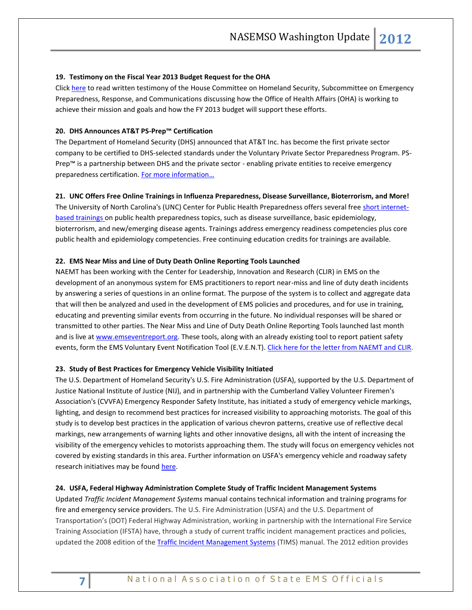#### <span id="page-6-0"></span>**19. Testimony on the Fiscal Year 2013 Budget Request for the OHA**

Click [here](http://www.dhs.gov/ynews/testimony/20120329-oha-fy13-budget-request-hsc.shtm) to read written testimony of the House Committee on Homeland Security, Subcommittee on Emergency Preparedness, Response, and Communications discussing how the Office of Health Affairs (OHA) is working to achieve their mission and goals and how the FY 2013 budget will support these efforts.

## <span id="page-6-1"></span>**20. DHS Announces AT&T PS-Prep™ Certification**

The Department of Homeland Security (DHS) announced that AT&T Inc. has become the first private sector company to be certified to DHS-selected standards under the Voluntary Private Sector Preparedness Program. PS-Prep™ is a partnership between DHS and the private sector - enabling private entities to receive emergency preparedness certification. [For more information…](http://www.dhs.gov/ynews/releases/20120314-dhs-announces-ps-prep.shtm)

## <span id="page-6-2"></span>**21. UNC Offers Free Online Trainings in Influenza Preparedness, Disease Surveillance, Bioterrorism, and More!**

The University of North Carolina's (UNC) Center for Public Health Preparedness offers several free [short internet](http://click.bsftransmit1.com/ClickThru.aspx?pubids=8731%7c9042%7c445%7c497&digest=PCReMTc2ByrIcFNDul%2fyig&sysid=1)[based trainings o](http://click.bsftransmit1.com/ClickThru.aspx?pubids=8731%7c9042%7c445%7c497&digest=PCReMTc2ByrIcFNDul%2fyig&sysid=1)n public health preparedness topics, such as disease surveillance, basic epidemiology, bioterrorism, and new/emerging disease agents. Trainings address emergency readiness competencies plus core public health and epidemiology competencies. Free continuing education credits for trainings are available.

## <span id="page-6-4"></span><span id="page-6-3"></span>**22. EMS Near Miss and Line of Duty Death Online Reporting Tools Launched**

NAEMT has been working with the Center for Leadership, Innovation and Research (CLIR) in EMS on the development of an anonymous system for EMS practitioners to report near-miss and line of duty death incidents by answering a series of questions in an online format. The purpose of the system is to collect and aggregate data that will then be analyzed and used in the development of EMS policies and procedures, and for use in training, educating and preventing similar events from occurring in the future. No individual responses will be shared or transmitted to other parties. The Near Miss and Line of Duty Death Online Reporting Tools launched last month and is live at [www.emseventreport.org.](http://event.clirems.org/) These tools, along with an already existing tool to report patient safety events, form the EMS Voluntary Event Notification Tool (E.V.E.N.T). [Click here for the letter from NAEMT and CLIR.](http://www.nasemso.org/documents/LettertoStateEMSOfficereEVENTrev.pdf)

#### <span id="page-6-5"></span>**23. Study of Best Practices for Emergency Vehicle Visibility Initiated**

The U.S. Department of Homeland Security's U.S. Fire Administration (USFA), supported by the U.S. Department of Justice National Institute of Justice (NIJ), and in partnership with the Cumberland Valley Volunteer Firemen's Association's (CVVFA) Emergency Responder Safety Institute, has initiated a study of emergency vehicle markings, lighting, and design to recommend best practices for increased visibility to approaching motorists. The goal of this study is to develop best practices in the application of various chevron patterns, creative use of reflective decal markings, new arrangements of warning lights and other innovative designs, all with the intent of increasing the visibility of the emergency vehicles to motorists approaching them. The study will focus on emergency vehicles not covered by existing standards in this area. Further information on USFA's emergency vehicle and roadway safety research initiatives may be foun[d here.](http://www.usfa.fema.gov/fireservice/research/safety/vehicle-roadway.shtm)

## <span id="page-6-7"></span><span id="page-6-6"></span>**24. USFA, Federal Highway Administration Complete Study of Traffic Incident Management Systems**

Updated *Traffic Incident Management Systems* manual contains technical information and training programs for fire and emergency service providers. The U.S. Fire Administration (USFA) and the U.S. Department of Transportation's (DOT) Federal Highway Administration, working in partnership with the International Fire Service Training Association (IFSTA) have, through a study of current traffic incident management practices and policies, updated the 2008 edition of the [Traffic Incident Management Systems](http://links.govdelivery.com/track?type=click&enid=ZWFzPTEmbWFpbGluZ2lkPTIwMTIwNDEyLjY4MDUzNDEmbWVzc2FnZWlkPU1EQi1QUkQtQlVMLTIwMTIwNDEyLjY4MDUzNDEmZGF0YWJhc2VpZD0xMDAxJnNlcmlhbD0xNjk0OTEzOCZlbWFpbGlkPXJvYmluc29uQG5hc2Vtc28ub3JnJnVzZXJpZD1yb2JpbnNvbkBuYXNlbXNvLm9yZyZmbD0mZXh0cmE9TXVsdGl2YXJpYXRlSWQ9JiYm&&&102&&&http://www.usfa.fema.gov/downloads/pdf/publications/fa_330.pdf) (TIMS) manual. The 2012 edition provides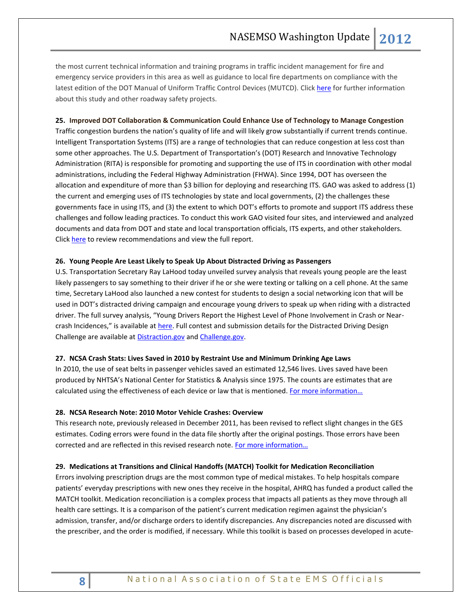the most current technical information and training programs in traffic incident management for fire and emergency service providers in this area as well as guidance to local fire departments on compliance with the latest edition of the DOT Manual of Uniform Traffic Control Devices (MUTCD). Click [here](http://www.usfa.fema.gov/fireservice/research/safety/roadway.shtm) for further information about this study and other roadway safety projects.

## <span id="page-7-0"></span>**25. Improved DOT Collaboration & Communication Could Enhance Use of Technology to Manage Congestion**

Traffic congestion burdens the nation's quality of life and will likely grow substantially if current trends continue. Intelligent Transportation Systems (ITS) are a range of technologies that can reduce congestion at less cost than some other approaches. The U.S. Department of Transportation's (DOT) Research and Innovative Technology Administration (RITA) is responsible for promoting and supporting the use of ITS in coordination with other modal administrations, including the Federal Highway Administration (FHWA). Since 1994, DOT has overseen the allocation and expenditure of more than \$3 billion for deploying and researching ITS. GAO was asked to address (1) the current and emerging uses of ITS technologies by state and local governments, (2) the challenges these governments face in using ITS, and (3) the extent to which DOT's efforts to promote and support ITS address these challenges and follow leading practices. To conduct this work GAO visited four sites, and interviewed and analyzed documents and data from DOT and state and local transportation officials, ITS experts, and other stakeholders. Click [here](http://www.gao.gov/products/GAO-12-308) to review recommendations and view the full report.

## <span id="page-7-1"></span>**26. Young People Are Least Likely to Speak Up About Distracted Driving as Passengers**

U.S. Transportation Secretary Ray LaHood today unveiled survey analysis that reveals young people are the least likely passengers to say something to their driver if he or she were texting or talking on a cell phone. At the same time, Secretary LaHood also launched a new contest for students to design a social networking icon that will be used in DOT's distracted driving campaign and encourage young drivers to speak up when riding with a distracted driver. The full survey analysis, "Young Drivers Report the Highest Level of Phone Involvement in Crash or Nearcrash Incidences," is available at [here.](http://www.nhtsa.gov/About+NHTSA/Press+Releases/2012/U.S.+Department+of+Transportation+Releases+Survey+Analysis+Showing+Young+People+Are+Least+Likely+to+Speak+Up+About+Distracted+Driving+as+Passengers) Full contest and submission details for the Distracted Driving Design Challenge are available at [Distraction.gov](http://links.govdelivery.com/track?type=click&enid=ZWFzPTEmbWFpbGluZ2lkPTIwMTIwNDE2LjY4NzU1ODEmbWVzc2FnZWlkPU1EQi1QUkQtQlVMLTIwMTIwNDE2LjY4NzU1ODEmZGF0YWJhc2VpZD0xMDAxJnNlcmlhbD0xNjkxNzU4OSZlbWFpbGlkPXJvYmluc29uQG5hc2Vtc28ub3JnJnVzZXJpZD1yb2JpbnNvbkBuYXNlbXNvLm9yZyZmbD0mZXh0cmE9TXVsdGl2YXJpYXRlSWQ9JiYm&&&101&&&http://distraction.gov/content/challenge.html) an[d Challenge.gov.](http://links.govdelivery.com/track?type=click&enid=ZWFzPTEmbWFpbGluZ2lkPTIwMTIwNDE2LjY4NzU1ODEmbWVzc2FnZWlkPU1EQi1QUkQtQlVMLTIwMTIwNDE2LjY4NzU1ODEmZGF0YWJhc2VpZD0xMDAxJnNlcmlhbD0xNjkxNzU4OSZlbWFpbGlkPXJvYmluc29uQG5hc2Vtc28ub3JnJnVzZXJpZD1yb2JpbnNvbkBuYXNlbXNvLm9yZyZmbD0mZXh0cmE9TXVsdGl2YXJpYXRlSWQ9JiYm&&&102&&&http://dd-design.challenge.gov/)

## <span id="page-7-2"></span>**27. NCSA Crash Stats: Lives Saved in 2010 by Restraint Use and Minimum Drinking Age Laws**

In 2010, the use of seat belts in passenger vehicles saved an estimated 12,546 lives. Lives saved have been produced by NHTSA's National Center for Statistics & Analysis since 1975. The counts are estimates that are calculated using the effectiveness of each device or law that is mentioned. [For more information…](http://www-nrd.nhtsa.dot.gov/Pubs/811580.pdf)

## <span id="page-7-3"></span>**28. NCSA Research Note: 2010 Motor Vehicle Crashes: Overview**

This research note, previously released in December 2011, has been revised to reflect slight changes in the GES estimates. Coding errors were found in the data file shortly after the original postings. Those errors have been corrected and are reflected in this revised research note. [For more information…](http://www-nrd.nhtsa.dot.gov/Pubs/811552.pdf)

## <span id="page-7-5"></span><span id="page-7-4"></span>**29. Medications at Transitions and Clinical Handoffs (MATCH) Toolkit for Medication Reconciliation**

Errors involving prescription drugs are the most common type of medical mistakes. To help hospitals compare patients' everyday prescriptions with new ones they receive in the hospital, AHRQ has funded a product called the MATCH toolkit. Medication reconciliation is a complex process that impacts all patients as they move through all health care settings. It is a comparison of the patient's current medication regimen against the physician's admission, transfer, and/or discharge orders to identify discrepancies. Any discrepancies noted are discussed with the prescriber, and the order is modified, if necessary. While this toolkit is based on processes developed in acute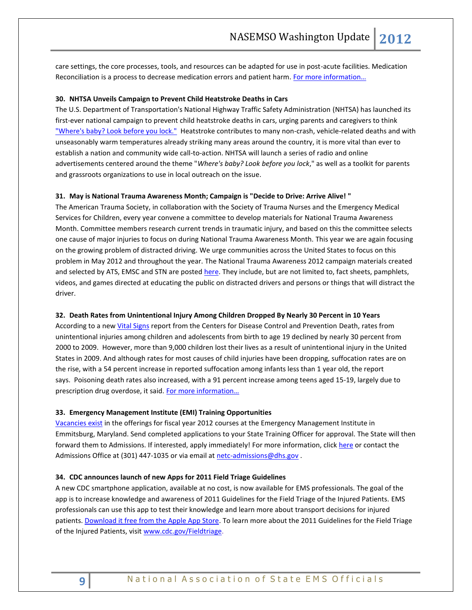care settings, the core processes, tools, and resources can be adapted for use in post-acute facilities. Medication Reconciliation is a process to decrease medication errors and patient harm. [For more information…](http://healthcare411.ahrq.gov/radiocastseg.aspx?id=1267&type=seg)

#### <span id="page-8-1"></span><span id="page-8-0"></span>**30. NHTSA Unveils Campaign to Prevent Child Heatstroke Deaths in Cars**

The U.S. Department of Transportation's National Highway Traffic Safety Administration (NHTSA) has launched its first-ever national campaign to prevent child heatstroke deaths in cars, urging parents and caregivers to think ["Where's baby? Look before you lock."](http://www.safercar.gov/parents/heatstroke.htm?utm_source=WhatCounts+Publicaster+Edition&utm_medium=email&utm_campaignhttp://click.bsftransmit1.com/ClickThru.aspx?pubids=8731%7c9090%7c445%7c497&digest=qVd4YTOoLknm2O2HTeIdRQ&sysid=1) Heatstroke contributes to many non-crash, vehicle-related deaths and with unseasonably warm temperatures already striking many areas around the country, it is more vital than ever to establish a nation and community wide call-to-action. NHTSA will launch a series of radio and online advertisements centered around the theme "*Where's baby? Look before you lock*," as well as a toolkit for parents and grassroots organizations to use in local outreach on the issue.

## <span id="page-8-3"></span><span id="page-8-2"></span>**31. May is National Trauma Awareness Month; Campaign is "Decide to Drive: Arrive Alive! "**

The American Trauma Society, in collaboration with the Society of Trauma Nurses and the Emergency Medical Services for Children, every year convene a committee to develop materials for National Trauma Awareness Month. Committee members research current trends in traumatic injury, and based on this the committee selects one cause of major injuries to focus on during National Trauma Awareness Month. This year we are again focusing on the growing problem of distracted driving. We urge communities across the United States to focus on this problem in May 2012 and throughout the year. The National Trauma Awareness 2012 campaign materials created and selected by ATS, EMSC and STN are posted [here.](http://www.amtrauma.org/injury-prevention-programs/trauma-awareness-month-2012/index.aspx) They include, but are not limited to, fact sheets, pamphlets, videos, and games directed at educating the public on distracted drivers and persons or things that will distract the driver.

#### <span id="page-8-5"></span><span id="page-8-4"></span>**32. Death Rates from Unintentional Injury Among Children Dropped By Nearly 30 Percent in 10 Years**

According to a new [Vital Signs](http://www.cdc.gov/vitalsigns/ChildInjury/index.html) report from the Centers for Disease Control and Prevention Death, rates from unintentional injuries among children and adolescents from birth to age 19 declined by nearly 30 percent from 2000 to 2009. However, more than 9,000 children lost their lives as a result of unintentional injury in the United States in 2009. And although rates for most causes of child injuries have been dropping, suffocation rates are on the rise, with a 54 percent increase in reported suffocation among infants less than 1 year old, the report says. Poisoning death rates also increased, with a 91 percent increase among teens aged 15-19, largely due to prescription drug overdose, it said. [For more information…](http://www.cdc.gov/media/releases/2012/p0416_children_deathrate.html)

#### <span id="page-8-6"></span>**33. Emergency Management Institute (EMI) Training Opportunities**

[Vacancies exist](http://training.fema.gov/EMICourses/docs/schedules/2012%20EMI%20Course%20Vacancies.pdf) in the offerings for fiscal year 2012 courses at the Emergency Management Institute in Emmitsburg, Maryland. Send completed applications to your State Training Officer for approval. The State will then forward them to Admissions. If interested, apply immediately! For more information, clic[k here](http://training.fema.gov/emicourses/) or contact the Admissions Office at (301) 447-1035 or via email at [netc-admissions@dhs.gov](mailto:netc-admissions@dhs.gov).

#### <span id="page-8-7"></span>**34. CDC announces launch of new Apps for 2011 Field Triage Guidelines**

A new CDC smartphone application, available at no cost, is now available for EMS professionals. The goal of the app is to increase knowledge and awareness of 2011 Guidelines for the Field Triage of the Injured Patients. EMS professionals can use this app to test their knowledge and learn more about transport decisions for injured patients. [Download it free from the Apple App Store.](http://itunes.apple.com/us/app/2011-guidelines-for-field/id509521539?mt=8http://itunes.apple.com/us/app/2011-guidelines-for-field/id509521539?mt=8) To learn more about the 2011 Guidelines for the Field Triage of the Injured Patients, visit [www.cdc.gov/Fieldtriage.](http://www.cdc.gov/Fieldtriage)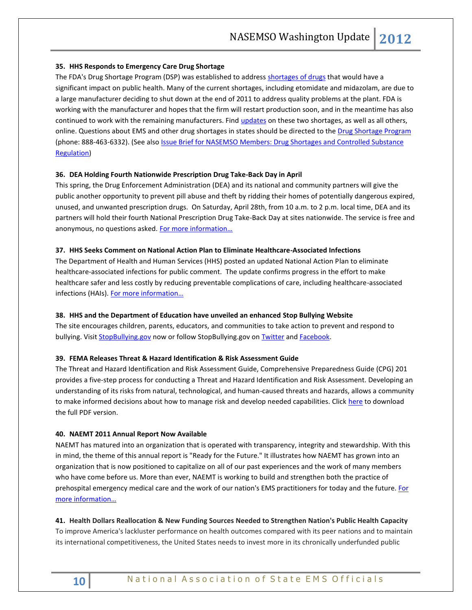## <span id="page-9-0"></span>**35. HHS Responds to Emergency Care Drug Shortage**

The FDA's Drug Shortage Program (DSP) was established to address [shortages of drugs](http://r20.rs6.net/tn.jsp?e=001Zq2TTkL9ayHJ7uSGYjuPSEyudgRRHTj7tl1n9Mu99sO8FxviGFSw0GpfiieEs6ogy8xP3hdNjihzQ36QhL-0Dt8OSzCfJAxcq2SPCTxIWB2P-aqiv7Diysew2bfcGjlYOPo6fdVe_Myzd08cy7Cq9Jqa_B1XLoZGwU5xicGeZZs=) that would have a significant impact on public health. Many of the current shortages, including etomidate and midazolam, are due to a large manufacturer deciding to shut down at the end of 2011 to address quality problems at the plant. FDA is working with the manufacturer and hopes that the firm will restart production soon, and in the meantime has also continued to work with the remaining manufacturers. Find *updates* on these two shortages, as well as all others, online. Questions about EMS and other drug shortages in states should be directed to the **Drug Shortage Program** (phone: 888-463-6332). (See also **Issue Brief for NASEMSO Members: Drug Shortages and Controlled Substance** [Regulation\)](https://www.nasemso.org/Members/IssueBrief-DrugShortages.asp)

## <span id="page-9-1"></span>**36. DEA Holding Fourth Nationwide Prescription Drug Take-Back Day in April**

This spring, the Drug Enforcement Administration (DEA) and its national and community partners will give the public another opportunity to prevent pill abuse and theft by ridding their homes of potentially dangerous expired, unused, and unwanted prescription drugs. On Saturday, April 28th, from 10 a.m. to 2 p.m. local time, DEA and its partners will hold their fourth National Prescription Drug Take-Back Day at sites nationwide. The service is free and anonymous, no questions asked. For more information...

## <span id="page-9-2"></span>**37. HHS Seeks Comment on National Action Plan to Eliminate Healthcare-Associated Infections**

The Department of Health and Human Services (HHS) posted an updated National Action Plan to eliminate healthcare-associated infections for public comment. The update confirms progress in the effort to make healthcare safer and less costly by reducing preventable complications of care, including healthcare-associated infections (HAIs). For more information...

## <span id="page-9-3"></span>**38. HHS and the Department of Education have unveiled an enhanced Stop Bullying Website**

The site encourages children, parents, educators, and communities to take action to prevent and respond to bullying. Visi[t StopBullying.gov](http://www.stopbullying.gov/) now or follow StopBullying.gov on [Twitter](https://twitter.com/#!/StopBullyingGov/) and [Facebook.](https://www.facebook.com/StopBullying.Gov)

#### <span id="page-9-4"></span>**39. FEMA Releases Threat & Hazard Identification & Risk Assessment Guide**

The Threat and Hazard Identification and Risk Assessment Guide, Comprehensive Preparedness Guide (CPG) 201 provides a five-step process for conducting a Threat and Hazard Identification and Risk Assessment. Developing an understanding of its risks from natural, technological, and human-caused threats and hazards, allows a community to make informed decisions about how to manage risk and develop needed capabilities. Click [here](http://www.fema.gov/library/viewRecord.do?id=5823) to download the full PDF version.

#### <span id="page-9-6"></span><span id="page-9-5"></span>**40. NAEMT 2011 Annual Report Now Available**

NAEMT has matured into an organization that is operated with transparency, integrity and stewardship. With this in mind, the theme of this annual report is "Ready for the Future." It illustrates how NAEMT has grown into an organization that is now positioned to capitalize on all of our past experiences and the work of many members who have come before us. More than ever, NAEMT is working to build and strengthen both the practice of prehospital emergency medical care and the work of our nation's EMS practitioners for today and the future[. For](http://www.naemt.org/WhatsNewALLNEWS/12-04-16/Read_the_NAEMT_2011_Annual_Report.aspx?ReturnURL=%2fdefault.aspx)  [more information…](http://www.naemt.org/WhatsNewALLNEWS/12-04-16/Read_the_NAEMT_2011_Annual_Report.aspx?ReturnURL=%2fdefault.aspx)

# **41. Health Dollars Reallocation & [New Funding Sources Needed to Strengthen Nation's Public Health Capacity](http://iom.edu/Reports/2012/For-the-Publics-Health-Investing-in-a-Healthier-Future/Press-Release-MR.aspx)** To improve America's lackluster performance on health outcomes compared with its peer nations and to maintain

its international competitiveness, the United States needs to invest more in its chronically underfunded public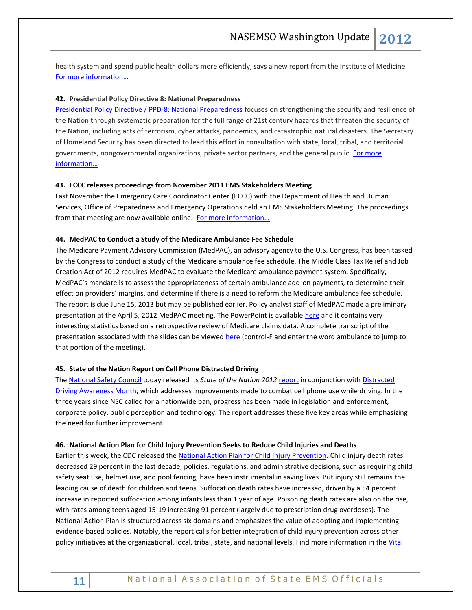health system and spend public health dollars more efficiently, says a new report from the Institute of Medicine. [For more information…](http://iom.edu/Reports/2012/For-the-Publics-Health-Investing-in-a-Healthier-Future/Press-Release-MR.aspx)

## <span id="page-10-0"></span>**42. Presidential Policy Directive 8: National Preparedness**

[Presidential Policy Directive / PPD-8: National Preparedness](http://www.dhs.gov/xabout/laws/gc_1215444247124.shtm) focuses on strengthening the security and resilience of the Nation through systematic preparation for the full range of 21st century hazards that threaten the security of the Nation, including acts of terrorism, cyber attacks, pandemics, and catastrophic natural disasters. The Secretary of Homeland Security has been directed to lead this effort in consultation with state, local, tribal, and territorial governments, nongovernmental organizations, private sector partners, and the general public. For more [information…](http://www.phe.gov/Preparedness/legal/policies/Pages/ppd8.aspx)

#### <span id="page-10-1"></span>**43. ECCC releases proceedings from November 2011 EMS Stakeholders Meeting**

Last November the Emergency Care Coordinator Center (ECCC) with the Department of Health and Human Services, Office of Preparedness and Emergency Operations held an EMS Stakeholders Meeting. The proceedings from that meeting are now available online. For more information...

#### <span id="page-10-2"></span>**44. MedPAC to Conduct a Study of the Medicare Ambulance Fee Schedule**

The Medicare Payment Advisory Commission (MedPAC), an advisory agency to the U.S. Congress, has been tasked by the Congress to conduct a study of the Medicare ambulance fee schedule. The Middle Class Tax Relief and Job Creation Act of 2012 requires MedPAC to evaluate the Medicare ambulance payment system. Specifically, MedPAC's mandate is to assess the appropriateness of certain ambulance add-on payments, to determine their effect on providers' margins, and determine if there is a need to reform the Medicare ambulance fee schedule. The report is due June 15, 2013 but may be published earlier. Policy analyst staff of MedPAC made a preliminary presentation at the April 5, 2012 MedPAC meeting. The PowerPoint is available [here](http://medpac.gov/transcripts/Ambulance_presentation_April2012%20Final.pdf) and it contains very interesting statistics based on a retrospective review of Medicare claims data. A complete transcript of the presentation associated with the slides can be viewed [here](http://www.medpac.gov/transcripts/0412%20MedPAC.pdf) (control-F and enter the word ambulance to jump to that portion of the meeting).

#### <span id="page-10-3"></span>**45. State of the Nation Report on Cell Phone Distracted Driving**

The [National Safety Council](http://www.nsc.org/Pages/Home.aspx) today released its *State of the Nation 2012* [report](http://www.nsc.org/safety_road/Distracted_Driving/Documents/State%20of%20the%20Nation.pdf) in conjunction with [Distracted](http://www.nsc.org/safety_road/Distracted_Driving/Pages/DDAM.aspx?VanUrl=ddmonth)  [Driving Awareness](http://www.nsc.org/safety_road/Distracted_Driving/Pages/DDAM.aspx?VanUrl=ddmonth) Month, which addresses improvements made to combat cell phone use while driving. In the three years since NSC called for a nationwide ban, progress has been made in legislation and enforcement, corporate policy, public perception and technology. The report addresses these five key areas while emphasizing the need for further improvement.

#### <span id="page-10-4"></span>**46. National Action Plan for Child Injury Prevention Seeks to Reduce Child Injuries and Deaths**

Earlier this week, the CDC released th[e National Action Plan for Child Injury Prevention.](http://r20.rs6.net/tn.jsp?e=001c1q_X-c47E5FAu9Iu15DKp1rZEkRK6p3zGzFlqHz3Y8cEW3VlwqimPj1fJnTkGxTpP-5LkZSRZ3alM_QrCSQ0OuWh3OGtvT_R8mwFYpl8s4b6d_uwHTEE0NjWM6JBNulp8anCAr5vWcwvjSh6dqlSw==) Child injury death rates decreased 29 percent in the last decade; policies, regulations, and administrative decisions, such as requiring child safety seat use, helmet use, and pool fencing, have been instrumental in saving lives. But injury still remains the leading cause of death for children and teens. Suffocation death rates have increased, driven by a 54 percent increase in reported suffocation among infants less than 1 year of age. Poisoning death rates are also on the rise, with rates among teens aged 15-19 increasing 91 percent (largely due to prescription drug overdoses). The National Action Plan is structured across six domains and emphasizes the value of adopting and implementing evidence-based policies. Notably, the report calls for better integration of child injury prevention across other policy initiatives at the organizational, local, tribal, state, and national levels. Find more information in the Vital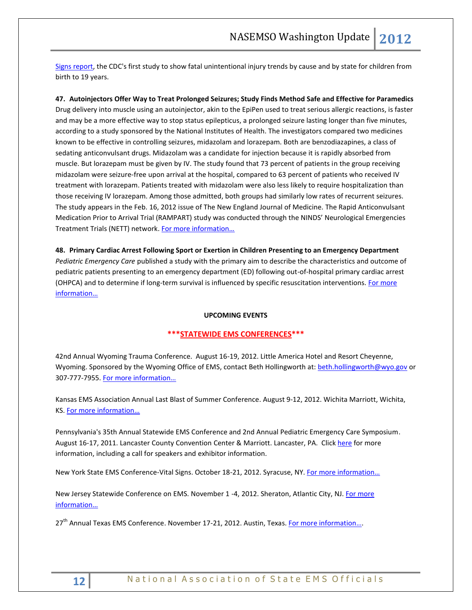[Signs report,](http://r20.rs6.net/tn.jsp?e=001c1q_X-c47E54OCTt-u3LORaJUaJTwEgqZdrtDrcP-Z8vJ69BC4vGuH_L0hE42jALFfVwnBMORMTGJVRVC1u3QMNE-HZxGwq8By6A4rey6XJRo_FC2BUQF7XKPdp9B0nZtW6loisteiyGNaOWg4oIgyKcVdmEiNcN) the CDC's first study to show fatal unintentional injury trends by cause and by state for children from birth to 19 years.

<span id="page-11-1"></span><span id="page-11-0"></span>**47. Autoinjectors Offer Way to Treat Prolonged Seizures; Study Finds Method Safe and Effective for Paramedics** Drug delivery into muscle using an autoinjector, akin to the EpiPen used to treat serious allergic reactions, is faster and may be a more effective way to stop status epilepticus, a prolonged seizure lasting longer than five minutes, according to a study sponsored by the National Institutes of Health. The investigators compared two medicines known to be effective in controlling seizures, midazolam and lorazepam. Both are benzodiazapines, a class of sedating anticonvulsant drugs. Midazolam was a candidate for injection because it is rapidly absorbed from muscle. But lorazepam must be given by IV. The study found that 73 percent of patients in the group receiving midazolam were seizure-free upon arrival at the hospital, compared to 63 percent of patients who received IV treatment with lorazepam. Patients treated with midazolam were also less likely to require hospitalization than those receiving IV lorazepam. Among those admitted, both groups had similarly low rates of recurrent seizures. The study appears in the Feb. 16, 2012 issue of The New England Journal of Medicine. The Rapid Anticonvulsant Medication Prior to Arrival Trial (RAMPART) study was conducted through the NINDS' Neurological Emergencies Treatment Trials (NETT) network. [For more information…](http://www.nih.gov/news/health/feb2012/ninds-15.htm)

<span id="page-11-2"></span>**48. Primary Cardiac Arrest Following Sport or Exertion in Children Presenting to an Emergency Department** *Pediatric Emergency Care* published a study with the primary aim to describe the characteristics and outcome of pediatric patients presenting to an emergency department (ED) following out-of-hospital primary cardiac arrest (OHPCA) and to determine if long-term survival is influenced by specific resuscitation interventions. For more [information…](http://www.ncbi.nlm.nih.gov/pubmed/22453726?utm_source=WhatCounts+Publicaster+Edition&utm_medium=email&utm_campaign)

## **UPCOMING EVENTS**

## <span id="page-11-3"></span>**\*\*\*STATEWIDE EMS CONFERENCES\*\*\***

42nd Annual Wyoming Trauma Conference. August 16-19, 2012. Little America Hotel and Resort Cheyenne, Wyoming. Sponsored by the Wyoming Office of EMS, contact Beth Hollingworth at: [beth.hollingworth@wyo.gov](mailto:beth.hollingworth@wyo.gov) or 307-777-7955. [For more information…](http://health.wyo.gov/sho/ems/conferences.html)

Kansas EMS Association Annual Last Blast of Summer Conference. August 9-12, 2012. Wichita Marriott, Wichita, KS. [For more information…](http://www.kemsa.org/LBOS.html) 

Pennsylvania's 35th Annual Statewide EMS Conference and 2nd Annual Pediatric Emergency Care Symposium. August 16-17, 2011. Lancaster County Convention Center & Marriott. Lancaster, PA. Click [here](http://www.cvent.com/events/35th-annual-pennsylvania-statewide-ems-conference/event-summary-dd4555c433834f8aada4af9332575af6.aspx) for more information, including a call for speakers and exhibitor information.

New York State EMS Conference-Vital Signs. October 18-21, 2012. Syracuse, NY. For more information...

New Jersey Statewide Conference on EMS. November 1 -4, 2012. Sheraton, Atlantic City, NJ. For more [information](http://www.njemsconference.com/)…

27<sup>th</sup> Annual Texas EMS Conference. November 17-21, 2012. Austin, Texas[. For more information](http://www.texasemsconference.com/)....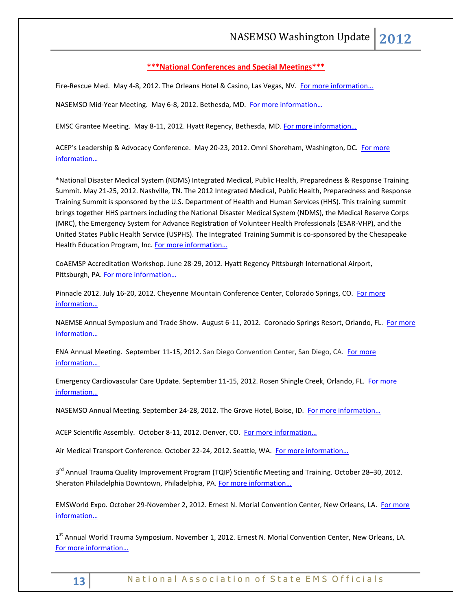## <span id="page-12-0"></span>**\*\*\*National Conferences and Special Meetings\*\*\***

Fire-Rescue Med. May 4-8, 2012. The Orleans Hotel & Casino, Las Vegas, NV. [For more information…](http://www.iafc.org/frm)

NASEMSO Mid-Year Meeting. May 6-8, 2012. Bethesda, MD. [For more information…](http://www.nasemso.org/)

EMSC Grantee Meeting. May 8-11, 2012. Hyatt Regency, Bethesda, MD. For more information...

ACEP's Leadership & Advocacy Conference. May 20-23, 2012. Omni Shoreham, Washington, DC. For more [information…](http://www.acep.org/LACHome.aspx?MeetingId=LAC)

\*National Disaster Medical System (NDMS) Integrated Medical, Public Health, Preparedness & Response Training Summit. May 21-25, 2012. Nashville, TN. The 2012 Integrated Medical, Public Health, Preparedness and Response Training Summit is sponsored by the U.S. Department of Health and Human Services (HHS). This training summit brings together HHS partners including the National Disaster Medical System (NDMS), the Medical Reserve Corps (MRC), the Emergency System for Advance Registration of Volunteer Health Professionals (ESAR-VHP), and the United States Public Health Service (USPHS). The Integrated Training Summit is co-sponsored by the Chesapeake Health Education Program, Inc. For more information...

CoAEMSP Accreditation Workshop. June 28-29, 2012. Hyatt Regency Pittsburgh International Airport, Pittsburgh, PA. [For more information…](http://events.r20.constantcontact.com/register/event?oeidk=a07e5ifryxe6de7ee04&llr=5sz87kdab)

Pinnacle 2012. July 16-20, 2012. Cheyenne Mountain Conference Center, Colorado Springs, CO. [For more](http://www.pinnacle-ems.com/)  [information…](http://www.pinnacle-ems.com/)

NAEMSE Annual Symposium and Trade Show. August 6-11, 2012. Coronado Springs Resort, Orlando, FL. [For more](http://www.naemse.org/symposium)  [information…](http://www.naemse.org/symposium)

ENA Annual Meeting. September 11-15, 2012. San Diego Convention Center, San Diego, CA. For more [information…](http://www.ena.org/coursesandeducation/conferences/Pages/Default.aspx)

Emergency Cardiovascular Care Update. September 11-15, 2012. Rosen Shingle Creek, Orlando, FL. [For more](http://www.eccu2012.com/)  [information…](http://www.eccu2012.com/)

NASEMSO Annual Meeting. September 24-28, 2012. The Grove Hotel, Boise, ID. For more information...

ACEP Scientific Assembly. October 8-11, 2012. Denver, CO. For more information...

Air Medical Transport Conference. October 22-24, 2012. Seattle, WA. [For more information…](http://www.aams.org/AAMS/Education___Meetings/AMTC_2012/aams/EducationMeetings/AMTC_2012/AMTC_2012_Overview.aspx)

3<sup>rd</sup> Annual Trauma Quality Improvement Program (TQIP) Scientific Meeting and Training. October 28–30, 2012. Sheraton Philadelphia Downtown, Philadelphia, PA[. For more information](http://www.facs.org/trauma/ntdb/tqip-meeting.html)...

EMSWorld Expo. October 29-November 2, 2012. Ernest N. Morial Convention Center, New Orleans, LA. For more [information…](http://emsworldexpo.com/)

1<sup>st</sup> Annual World Trauma Symposium. November 1, 2012. Ernest N. Morial Convention Center, New Orleans, LA. [For more inform](http://www.worldtraumasymposium.com/)ation…